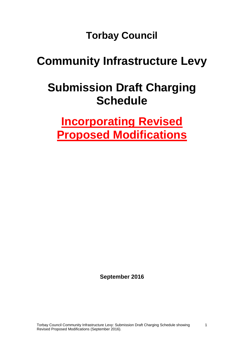**Torbay Council**

# **Community Infrastructure Levy**

# **Submission Draft Charging Schedule**

**Incorporating Revised Proposed Modifications** 

**September 2016**

1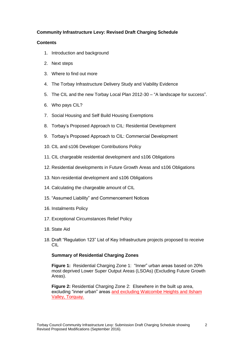# **Community Infrastructure Levy: Revised Draft Charging Schedule**

# **Contents**

- 1. Introduction and background
- 2. Next steps
- 3. Where to find out more
- 4. The Torbay Infrastructure Delivery Study and Viability Evidence
- 5. The CIL and the new Torbay Local Plan 2012-30 "A landscape for success".
- 6. Who pays CIL?
- 7. Social Housing and Self Build Housing Exemptions
- 8. Torbay's Proposed Approach to CIL: Residential Development
- 9. Torbay's Proposed Approach to CIL: Commercial Development
- 10. CIL and s106 Developer Contributions Policy
- 11. CIL chargeable residential development and s106 Obligations
- 12. Residential developments in Future Growth Areas and s106 Obligations
- 13. Non-residential development and s106 Obligations
- 14. Calculating the chargeable amount of CIL
- 15. "Assumed Liability" and Commencement Notices
- 16. Instalments Policy
- 17. Exceptional Circumstances Relief Policy
- 18. State Aid
- 18. Draft "Regulation 123" List of Key Infrastructure projects proposed to receive CIL

## **Summary of Residential Charging Zones**

**Figure 1:** Residential Charging Zone 1: "Inner" urban areas based on 20% most deprived Lower Super Output Areas (LSOAs) (Excluding Future Growth Areas).

**Figure 2:** Residential Charging Zone 2: Elsewhere in the built up area, excluding "inner urban" areas and excluding Watcombe Heights and Ilsham Valley, Torquay.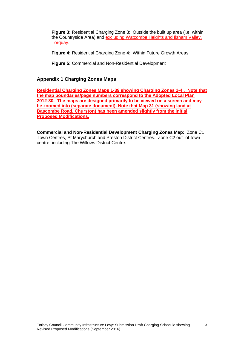**Figure 3:** Residential Charging Zone 3: Outside the built up area (i.e. within the Countryside Area) and excluding Watcombe Heights and Ilsham Valley, Torquay.

**Figure 4:** Residential Charging Zone 4: Within Future Growth Areas

**Figure 5:** Commercial and Non-Residential Development

# **Appendix 1 Charging Zones Maps**

**Residential Charging Zones Maps 1-39 showing Charging Zones 1-4 . Note that the map boundaries/page numbers correspond to the Adopted Local Plan 2012-30. The maps are designed primarily to be viewed on a screen and may be zoomed into (separate document). Note that Map 31 (showing land at Bascombe Road, Churston) has been amended slightly from the initial Proposed Modifications.** 

**Commercial and Non-Residential Development Charging Zones Map:** Zone C1 Town Centres, St Marychurch and Preston District Centres. Zone C2 out- of-town centre, including The Willows District Centre.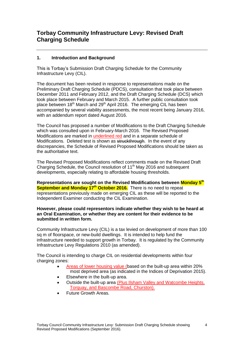# **1. Introduction and Background**

This is Torbay's Submission Draft Charging Schedule for the Community Infrastructure Levy (CIL).

The document has been revised in response to representations made on the Preliminary Draft Charging Schedule (PDCS), consultation that took place between December 2011 and February 2012, and the Draft Charging Schedule (DCS) which took place between February and March 2015. A further public consultation took place between 18<sup>th</sup> March and 29<sup>th</sup> April 2016. The emerging CIL has been accompanied by several viability assessments, the most recent being January 2016, with an addendum report dated August 2016.

The Council has proposed a number of Modifications to the Draft Charging Schedule which was consulted upon in February-March 2016. The Revised Proposed Modifications are marked in underlined red and in a separate schedule of Modifications. Deleted test is shown as struckthrough. In the event of any discrepancies, the Schedule of Revised Proposed Modifications should be taken as the authoritative text.

The Revised Proposed Modifications reflect comments made on the Revised Draft Charging Schedule, the Council resolution of 11<sup>th</sup> May 2016 and subsequent developments, especially relating to affordable housing thresholds.

**Representations are sought on the Revised Modifications between Monday 5 th September and Monday 17th October 2016.** There is no need to repeat representations previously made on emerging CIL as these will be reported to the Independent Examiner conducting the CIL Examination.

**However, please could representors indicate whether they wish to be heard at an Oral Examination, or whether they are content for their evidence to be submitted in written form.** 

Community Infrastructure Levy (CIL) is a tax levied on development of more than 100 sq m of floorspace, or new-build dwellings. It is intended to help fund the infrastructure needed to support growth in Torbay. It is regulated by the Community Infrastructure Levy Regulations 2010 (as amended).

The Council is intending to charge CIL on residential developments within four charging zones:

- Areas of lower housing value (based on the built-up area within 20% most deprived area (as indicated in the Indices of Deprivation 2015).
- Elsewhere in the built-up area.
- Outside the built-up area (Plus Ilsham Valley and Watcombe Heights, Torquay, and Bascombe Road, Churston).
- Future Growth Areas.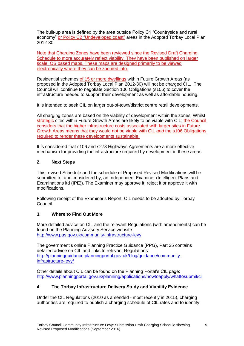The built-up area is defined by the area outside Policy C1 "Countryside and rural economy" or Policy C2 "Undeveloped coast" areas in the Adopted Torbay Local Plan 2012-30.

Note that Charging Zones have been reviewed since the Revised Draft Charging Schedule to more accurately reflect viability. They have been published on larger scale, OS based maps. These maps are designed primarily to be viewed electronically where they can be zoomed into.

Residential schemes of 15 or more dwellings within Future Growth Areas (as proposed in the Adopted Torbay Local Plan 2012-30) will not be charged CIL. The Council will continue to negotiate Section 106 Obligations (s106) to cover the infrastructure needed to support their development as well as affordable housing.

It is intended to seek CIL on larger out-of-town/district centre retail developments.

All charging zones are based on the viability of development within the zones. Whilst strategic sites within Future Growth Areas are likely to be viable with CIL; the Council considers that the higher infrastructure costs associated with larger sites in Future Growth Areas means that they would not be viable with CIL *and* the s106 Obligations required to render these developments sustainable.

It is considered that s106 and s278 Highways Agreements are a more effective mechanism for providing the infrastructure required by development in these areas.

# **2. Next Steps**

This revised Schedule and the schedule of Proposed Revised Modifications will be submitted to, and considered by, an Independent Examiner (Intelligent Plans and Examinations ltd (IPE)). The Examiner may approve it, reject it or approve it with modifications.

Following receipt of the Examiner's Report, CIL needs to be adopted by Torbay Council.

# **3. Where to Find Out More**

More detailed advice on CIL and the relevant Regulations (with amendments) can be found on the Planning Advisory Service website: <http://www.pas.gov.uk/community-infrastructure-levy>

The government's online Planning Practice Guidance (PPG), Part 25 contains detailed advice on CIL and links to relevant Regulations: [http://planningguidance.planningportal.gov.uk/blog/guidance/community](http://planningguidance.planningportal.gov.uk/blog/guidance/community-infrastructure-levy/)[infrastructure-levy/](http://planningguidance.planningportal.gov.uk/blog/guidance/community-infrastructure-levy/)

Other details about CIL can be found on the Planning Portal's CIL page: <http://www.planningportal.gov.uk/planning/applications/howtoapply/whattosubmit/cil>

# **4. The Torbay Infrastructure Delivery Study and Viability Evidence**

Under the CIL Regulations (2010 as amended - most recently in 2015), charging authorities are required to publish a charging schedule of CIL rates and to identify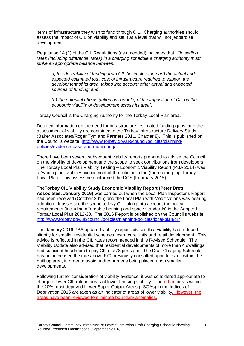items of infrastructure they wish to fund through CIL. Charging authorities should assess the impact of CIL on viability and set it at a level that will not jeopardise development.

Regulation 14 (1) of the CIL Regulations (as amended) indicates that: *"In setting rates (including differential rates) in a charging schedule a charging authority must strike an appropriate balance between:*

*a) the desirability of funding from CIL (in whole or in part) the actual and expected estimated total cost of infrastructure required to support the development of its area, taking into account other actual and expected sources of funding; and*

*(b) the potential effects (taken as a whole) of the imposition of CIL on the economic viability of development across its area".*

Torbay Council is the Charging Authority for the Torbay Local Plan area.

Detailed information on the need for infrastructure, estimated funding gaps, and the assessment of viability are contained in the Torbay Infrastructure Delivery Study (Baker Associates/Roger Tym and Partners 2011, Chapter 8). This is published on the Council's website. [http://www.torbay.gov.uk/council/policies/planning](http://www.torbay.gov.uk/council/policies/planning-policies/evidence-base-and-monitoring/)[policies/evidence-base-and-monitoring/](http://www.torbay.gov.uk/council/policies/planning-policies/evidence-base-and-monitoring/) .

There have been several subsequent viability reports prepared to advise the Council on the viability of development and the scope to seek contributions from developers. The Torbay Local Plan Viability Testing – Economic Viability Report (PBA 2014) was a "whole plan" viability assessment of the policies in the (then) emerging Torbay Local Plan. This assessment informed the DCS (February 2015).

The**Torbay CIL Viability Study Economic Viability Report (Peter Brett Associates, January 2016)** was carried out when the Local Plan Inspector's Report had been received (October 2015) and the Local Plan with Modifications was nearing adoption. It assessed the scope to levy CIL taking into account the policy requirements (including affordable housing and space standards) in the Adopted Torbay Local Plan 2012-30. The 2016 Report is published on the Council's website. <http://www.torbay.gov.uk/council/policies/planning-policies/local-plan/cil/>

The January 2016 PBA updated viability report advised that viability had reduced slightly for smaller residential schemes, extra care units and retail development. This advice is reflected in the CIL rates recommended in this Revised Schedule. The Viability Update also advised that residential developments of more than 4 dwellings had sufficient headroom to pay CIL of £78 per sq m. The Draft Charging Schedule has not increased the rate above £70 previously consulted upon for sites within the built up area, in order to avoid undue burdens being placed upon smaller developments.

Following further consideration of viability evidence, it was considered appropriate to charge a lower CIL rate in areas of lower housing viability. The urban areas within the 20% most deprived Lower Super Output Areas (LSOAs) in the Indices of Deprivation 2015 are taken as an indicator of areas of lower viability. However, the areas have been reviewed to eliminate boundary anomalies.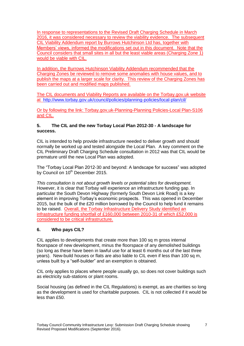In response to representations to the Revised Draft Charging Schedule in March 2016, it was considered necessary to review the viability evidence. The subsequent CIL Viability Addendum report by Burrows Hutchinson Ltd has, together with Members' views, informed the modifications set out in this document. Note that the Council considers that small sites in all but the least viable areas (Charging Zone 1) would be viable with CIL.

In addition, the Burrows Hutchinson Viability Addendum recommended that the Charging Zones be reviewed to remove some anomalies with house values, and to publish the maps at a larger scale for clarity. This review of the Charging Zones has been carried out and modified maps published.

The CIL documents and Viability Reports are available on the Torbay.gov.uk website at <http://www.torbay.gov.uk/council/policies/planning-policies/local-plan/cil/>

Or by following the link: Torbay.gov,uk-Planning-Planning Policies-Local Plan-S106 and CIL.

# **5. The CIL and the new Torbay Local Plan 2012-30 - A landscape for success.**

CIL is intended to help provide infrastructure needed to deliver growth and should normally be worked up and tested alongside the Local Plan. A key comment on the CIL Preliminary Draft Charging Schedule consultation in 2012 was that CIL would be premature until the new Local Plan was adopted.

The "Torbay Local Plan 2012-30 and beyond: A landscape for success" was adopted by Council on 10<sup>th</sup> December 2015.

*This consultation is not about growth levels or potential sites for development.*  However, it is clear that Torbay will experience an infrastructure funding gap. In particular the South Devon Highway (formerly South Devon Link Road) is a key element in improving Torbay's economic prospects. This was opened in December 2015, but the bulk of the £20 million borrowed by the Council to help fund it remains to be raised. Overall, the Torbay Infrastructure Delivery Study identified an infrastructure funding shortfall of £160,000 between 2010-31 of which £52,000 is considered to be critical infrastructure.

# **6. Who pays CIL?**

CIL applies to developments that create more than 100 sq m gross internal floorspace of new development, minus the floorspace of any demolished buildings (so long as these have been in lawful use for at least 6 months out of the last three years). New-build houses or flats are also liable to CIL even if less than 100 sq m. unless built by a "self-builder" and an exemption is obtained.

CIL only applies to places where people usually go, so does not cover buildings such as electricity sub-stations or plant rooms.

Social housing (as defined in the CIL Regulations) is exempt, as are charities so long as the development is used for charitable purposes. CIL is not collected if it would be less than £50.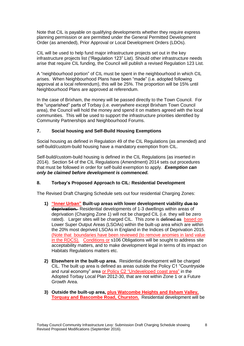Note that CIL is payable on qualifying developments whether they require express planning permission or are permitted under the General Permitted Development Order (as amended), Prior Approval or Local Development Orders (LDOs).

CIL will be used to help fund major infrastructure projects set out in the key infrastructure projects list ("Regulation 123" List). Should other infrastructure needs arise that require CIL funding, the Council will publish a revised Regulation 123 List.

A "neighbourhood portion" of CIL must be spent in the neighbourhood in which CIL arises. When Neighbourhood Plans have been "made" (i.e. adopted following approval at a local referendum), this will be 25%. The proportion will be 15% until Neighbourhood Plans are approved at referendum.

In the case of Brixham, the money will be passed directly to the Town Council. For the "unparished" parts of Torbay (i.e. everywhere except Brixham Town Council area), the Council will hold the money and spend it on matters agreed with the local communities. This will be used to support the infrastructure priorities identified by Community Partnerships and Neighbourhood Forums.

# **7. Social housing and Self-Build Housing Exemptions**

Social housing as defined in Regulation 49 of the CIL Regulations (as amended) and self-build/custom-build housing have a mandatory exemption from CIL.

Self-build/custom-build housing is defined in the CIL Regulations (as inserted in 2014). Section 54 of the CIL Regulations (Amendment) 2014 sets out procedures that must be followed in order for self-build exemption to apply. *Exemption can only be claimed before development is commenced.* 

# **8. Torbay's Proposed Approach to CIL: Residential Development**

The Revised Draft Charging Schedule sets out four residential Charging Zones:

- **1) "Inner Urban" Built-up areas with lower development viability due to deprivation.** Residential developments of 1-3 dwellings within areas of deprivation (Charging Zone 1) will not be charged CIL (i.e. they will be zero rated). Larger sites will be charged CIL. This zone is defined as based on Lower Super Output Areas (LSOAs) within the built-up area which are within the 20% most deprived LSOAs in England in the Indices of Deprivation 2015. (Note that boundaries have been reviewed (to remove anomies in land value in the RDCS). Conditions or s106 Obligations will be sought to address site acceptability matters, and to make development legal in terms of its impact on Habitats Regulations matters etc.
- **2) Elsewhere in the built-up area.** Residential development will be charged CIL. The built up area is defined as areas outside the Policy C1 "Countryside and rural economy" area or Policy C2 "Undeveloped coast area" in the Adopted Torbay Local Plan 2012-30, that are not within Zone 1 or a Future Growth Area.
- **3) Outside the built-up area, plus Watcombe Heights and Ilsham Valley, Torquay and Bascombe Road, Churston.** Residential development will be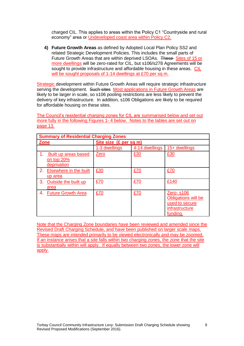charged CIL. This applies to areas within the Policy C1 "Countryside and rural economy" area or Undeveloped coast area within Policy C2.

**4) Future Growth Areas** as defined by Adopted Local Plan Policy SS2 and related Strategic Development Policies. This includes the small parts of Future Growth Areas that are within deprived LSOAs. These Sites of 15 or more dwellings will be zero-rated for CIL, but s106/s278 Agreements will be sought to provide infrastructure and affordable housing in these areas. CIL will be sought proposals of 1-14 dwellings at £70 per sq m.

Strategic development within Future Growth Areas will require strategic infrastructure serving the development. Such sites Most applications in Future Growth Areas are likely to be larger in scale, so s106 pooling restrictions are less likely to prevent the delivery of key infrastructure. In addition, s106 Obligations are likely to be required for affordable housing on these sites.

The Council's residential charging zones for CIL are summarised below and set out more fully in the following Figures 1- 4 below. Notes to the tables are set out on page 13.

| <b>Summary of Residential Charging Zones</b>      |                        |                |                                                                                         |
|---------------------------------------------------|------------------------|----------------|-----------------------------------------------------------------------------------------|
| <b>Zone</b>                                       | Site size (£ per sq m) |                |                                                                                         |
|                                                   | 1-3 dwellings          | 4-14 dwellings | 15+ dwellings                                                                           |
| Built up areas based<br>on top 20%<br>deprivation | Zero                   | £30            | £30                                                                                     |
| 2.<br>Elsewhere in the built<br>up area           | £30                    | £70            | £70                                                                                     |
| 3.<br>Outside the built up<br>area                | £70                    | £70            | £140                                                                                    |
| <b>Future Growth Area</b><br>4.                   | £70                    | £70            | <b>Zero-s106</b><br>Obligations will be<br>used to secure<br>infrastructure<br>fundina. |

Note that the Charging Zone boundaries have been reviewed and amended since the Revised Draft Charging Schedule, and have been published on larger scale maps. These maps are intended primarily to be viewed electronically and may be zoomed. If an instance arises that a site falls within two charging zones, the zone that the site is substantially within will apply. If equally between two zones, the lower zone will apply.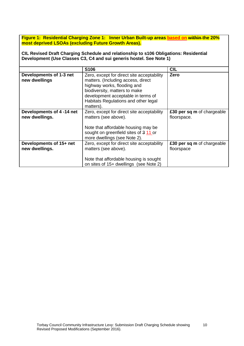**Figure 1: Residential Charging Zone 1: Inner Urban Built-up areas based on within the 20% most deprived LSOAs (excluding Future Growth Areas).**

**CIL Revised Draft Charging Schedule and relationship to s106 Obligations: Residential Development (Use Classes C3, C4 and sui generis hostel. See Note 1)**

|                                            | S <sub>106</sub>                                                                                                                                                                                                                            | <b>CIL</b>                                |
|--------------------------------------------|---------------------------------------------------------------------------------------------------------------------------------------------------------------------------------------------------------------------------------------------|-------------------------------------------|
| Developments of 1-3 net<br>new dwellings   | Zero, except for direct site acceptability<br>matters. (Including access, direct<br>highway works, flooding and<br>biodiversity, matters to make<br>development acceptable in terms of<br>Habitats Regulations and other legal<br>matters). | Zero                                      |
| Developments of 4-14 net<br>new dwellings. | Zero, except for direct site acceptability<br>matters (see above).                                                                                                                                                                          | £30 per sq m of chargeable<br>floorspace. |
|                                            | Note that affordable housing may be<br>sought on greenfield sites of 3 11 or<br>more dwellings (see Note 2).                                                                                                                                |                                           |
| Developments of 15+ net<br>new dwellings.  | Zero, except for direct site acceptability<br>matters (see above).                                                                                                                                                                          | £30 per sq m of chargeable<br>floorspace  |
|                                            | Note that affordable housing is sought<br>on sites of 15+ dwellings (see Note 2)                                                                                                                                                            |                                           |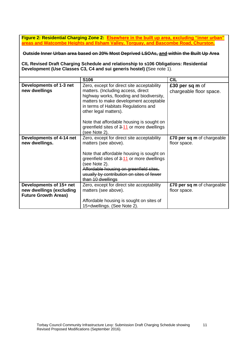**Figure 2: Residential Charging Zone 2: Elsewhere in the built up area, excluding "inner urban" areas and Watcombe Heights and Ilsham Valley, Torquay, and Bascombe Road, Churston.**

**Outside Inner Urban area based on 20% Most Deprived LSOAs, and within the Built Up Area**

**CIL Revised Draft Charging Schedule and relationship to s106 Obligations: Residential Development (Use Classes C3, C4 and sui generis hostel) (**See note 1).

|                                                         | S106                                                                                                                                                                                                                                     | <b>CIL</b>                                 |
|---------------------------------------------------------|------------------------------------------------------------------------------------------------------------------------------------------------------------------------------------------------------------------------------------------|--------------------------------------------|
| Developments of 1-3 net<br>new dwellings                | Zero, except for direct site acceptability<br>matters. (Including access, direct<br>highway works, flooding and biodiversity,<br>matters to make development acceptable<br>in terms of Habitats Regulations and<br>other legal matters). | £30 per sq m of<br>chargeable floor space. |
|                                                         | Note that affordable housing is sought on<br>greenfield sites of 3-11 or more dwellings<br>(see Note 2).                                                                                                                                 |                                            |
| Developments of 4-14 net<br>new dwellings.              | Zero, except for direct site acceptability<br>matters (see above).                                                                                                                                                                       | £70 per sq m of chargeable<br>floor space. |
|                                                         | Note that affordable housing is sought on<br>greenfield sites of 3-11 or more dwellings<br>(see Note 2).<br>Affordable housing on greenfield sites,<br>usually by contribution on sites of fewer<br>than 10 dwellings                    |                                            |
| Developments of 15+ net                                 | Zero, except for direct site acceptability                                                                                                                                                                                               | £70 per sq m of chargeable                 |
| new dwellings (excluding<br><b>Future Growth Areas)</b> | matters (see above).                                                                                                                                                                                                                     | floor space.                               |
|                                                         | Affordable housing is sought on sites of<br>15+dwellings. (See Note 2).                                                                                                                                                                  |                                            |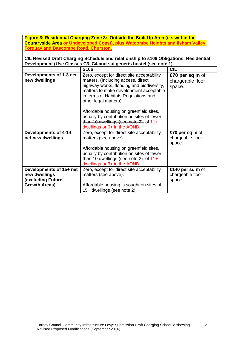| Figure 3: Residential Charging Zone 3: Outside the Built Up Area (i.e. within the       |
|-----------------------------------------------------------------------------------------|
| <b>Countryside Area or Undeveloped Coast), plus Watcombe Heights and Ilsham Valley,</b> |
| <b>Torquay and Bascombe Road, Churston.</b>                                             |

**CIL Revised Draft Charging Schedule and relationship to s106 Obligations: Residential Development (Use Classes C3, C4 and sui generis hostel (see note 1).** 

|                             | S106                                                                    | <b>CIL</b>       |
|-----------------------------|-------------------------------------------------------------------------|------------------|
| Developments of 1-3 net     | Zero, except for direct site acceptability                              | £70 per sq m of  |
| new dwellings               | matters. (Including access, direct                                      | chargeable floor |
|                             | highway works, flooding and biodiversity,                               | space.           |
|                             | matters to make development acceptable                                  |                  |
|                             | in terms of Habitats Regulations and                                    |                  |
|                             | other legal matters).                                                   |                  |
|                             | Affordable housing on greenfield sites,                                 |                  |
|                             | usually by contribution on sites of fewer                               |                  |
|                             | than 10 dwellings (see note $2$ ). of $11+$                             |                  |
|                             | dwellings or 6+ in the AONB.                                            |                  |
| <b>Developments of 4-14</b> | Zero, except for direct site acceptability                              | £70 per sq m of  |
| net new dwellings           | matters (see above).                                                    | chargeable floor |
|                             |                                                                         |                  |
|                             |                                                                         | space.           |
|                             | Affordable housing on greenfield sites,                                 |                  |
|                             | usually by contribution on sites of fewer                               |                  |
|                             | than 10 dwellings (see note $2$ ). of $11+$                             |                  |
|                             | dwellings or 6+ in the AONB.                                            |                  |
| Developments of 15+ net     | Zero, except for direct site acceptability                              | £140 per sq m of |
| new dwellings               | matters (see above).                                                    | chargeable floor |
| <b>(excluding Future</b>    |                                                                         | space.           |
| <b>Growth Areas)</b>        | Affordable housing is sought on sites of<br>15+ dwellings (see note 2). |                  |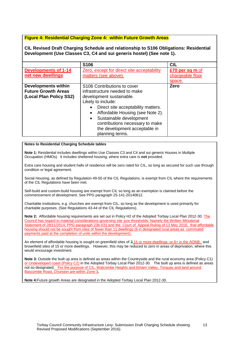## **Figure 4: Residential Charging Zone 4: within Future Growth Areas**

**CIL Revised Draft Charging Schedule and relationship to S106 Obligations: Residential Development (Use Classes C3, C4 and sui generis hostel) (See note 1).**

|                                                                                     | S106                                                                                                                                                                                                                                                                                                                         | <b>CIL</b>       |
|-------------------------------------------------------------------------------------|------------------------------------------------------------------------------------------------------------------------------------------------------------------------------------------------------------------------------------------------------------------------------------------------------------------------------|------------------|
| <b>Developments of 1-14</b>                                                         | Zero, except for direct site acceptability                                                                                                                                                                                                                                                                                   | £70 per sq m of  |
| net new dwellings                                                                   | matters (see above).                                                                                                                                                                                                                                                                                                         | chargeable floor |
|                                                                                     |                                                                                                                                                                                                                                                                                                                              | space.           |
| <b>Developments within</b><br><b>Future Growth Areas</b><br>(Local Plan Policy SS2) | S106 Contributions to cover<br>infrastructure needed to make<br>development sustainable.<br>Likely to include:<br>Direct site acceptability matters.<br>Affordable Housing (see Note 2).<br>٠<br>Sustainable development<br>$\bullet$<br>contributions necessary to make<br>the development acceptable in<br>planning terms. | Zero             |

#### **Notes to Residential Charging Schedule tables**

**Note 1:** Residential includes dwellings within Use Classes C3 and C4 and sui generis Houses in Multiple Occupation (HMOs). It includes sheltered housing, where extra care is **not** provided.

Extra care housing and student halls of residence will be zero rated for CIL, so long as secured for such use through condition or legal agreement.

Social Housing, as defined by Regulation 49-50 of the CIL Regulations, is exempt from CIL where the requirements of the CIL Regulations have been met.

Self-build and custom-build housing are exempt from CIL so long as an exemption is claimed before the commencement of development. See PPG paragraph 25-141-20140612.

Charitable institutions, e.g. churches are exempt from CIL, so long as the development is used primarily for charitable purposes. (See Regulations 43-44 of the CIL Regulations).

**Note 2:** Affordable housing requirements are set out in Policy H2 of the Adopted Torbay Local Plan 2012-30. The Council has regard to material considerations governing site size thresholds: Namely the Written Ministerial Statement of 28/11/2014, PPG paragraph 23b-031 and the Court of Appeal Ruling of 13 May 2016, that affordable housing should not be sought from sites of fewer than 11 dwellings (6 in designated rural areas as commuted payments paid at the completion of units within the development).

An element of affordable housing is sought on greenfield sites of 3 11 or more dwellings or 6+ in the AONB, and brownfield sites of 15 or more dwellings. However, this may be reduced to zero in areas of deprivation, where this would encourage investment.

**Note 3:** Outside the built up area is defined as areas within the Countryside and the rural economy area (Policy C1) or Undeveloped coast (Policy C2) in the Adopted Torbay Local Plan 2012-30. The built up area is defined as areas not so designated. For the purpose of CIL, Watcombe Heights and Ilsham Valley, Torquay and land around Bascombe Road, Churston are within Zone 3**.** 

**Note 4:**Future growth Areas are designated in the Adopted Torbay Local Plan 2012-30.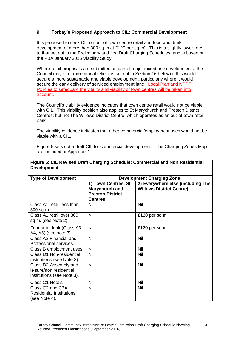# **9. Torbay's Proposed Approach to CIL: Commercial Development**

It is proposed to seek CIL on out-of-town centre retail and food and drink development of more than 300 sq m at £120 per sq m). This is a slightly lower rate to that set out in the Preliminary and first Draft Charging Schedules, and is based on the PBA January 2016 Viability Study.

Where retail proposals are submitted as part of major mixed use developments, the Council may offer exceptional relief (as set out in Section 16 below) if this would secure a more sustainable and viable development, particularly where it would secure the early delivery of serviced employment land. Local Plan and NPPF Policies to safeguard the vitality and viability of town centres will be taken into account.

The Council's viability evidence indicates that town centre retail would not be viable with CIL. This viability position also applies to St Marychurch and Preston District Centres; but not The Willows District Centre, which operates as an out-of-town retail park.

The viability evidence indicates that other commercial/employment uses would not be viable with a CIL.

Figure 5 sets out a draft CIL for commercial development. The Charging Zones Map are included at Appendix 1.

| <b>Type of Development</b>                                                     | <b>Development Charging Zone</b>                                            |                                                                       |  |
|--------------------------------------------------------------------------------|-----------------------------------------------------------------------------|-----------------------------------------------------------------------|--|
|                                                                                | 1) Town Centres, St<br>Marychurch and<br><b>Preston District</b><br>Centres | 2) Everywhere else (including The<br><b>Willows District Centre).</b> |  |
| Class A1 retail less than<br>300 sq m.                                         | Nil                                                                         | Nil                                                                   |  |
| Class A1 retail over 300<br>sq m. (see Note 2).                                | <b>Nil</b>                                                                  | £120 per sq m                                                         |  |
| Food and drink (Class A3,<br>A4, A5) (see note 3).                             | <b>Nil</b>                                                                  | £120 per sq m                                                         |  |
| Class A2 Financial and<br>Professional services.                               | <b>Nil</b>                                                                  | Nil                                                                   |  |
| Class B employment uses                                                        | Nil                                                                         | <b>Nil</b>                                                            |  |
| <b>Class D1 Non-residential</b><br>institutions (see Note 3).                  | Nil                                                                         | <b>Nil</b>                                                            |  |
| Class D2 Assembly and<br>leisure/non residential<br>institutions (see Note 3). | Nil                                                                         | Nil                                                                   |  |
| Class C1 Hotels                                                                | Nil                                                                         | <b>Nil</b>                                                            |  |
| Class C2 and C2A<br><b>Residential Institutions</b><br>(see Note 4).           | Nil                                                                         | Nil                                                                   |  |

## **Figure 5: CIL Revised Draft Charging Schedule: Commercial and Non Residential Development**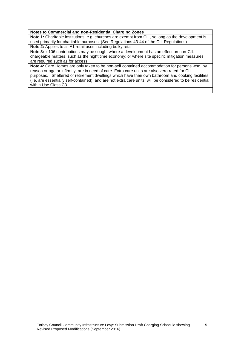#### **Notes to Commercial and non-Residential Charging Zones**

**Note 1:** Charitable institutions, e.g. churches are exempt from CIL, so long as the development is used primarily for charitable purposes. (See Regulations 43-44 of the CIL Regulations).

**Note 2:** Applies to all A1 retail uses including bulky retail**.**

**Note 3:** s106 contributions may be sought where a development has an effect on non-CIL chargeable matters, such as the night time economy; or where site specific mitigation measures are required such as for access.

**Note 4:** Care Homes are only taken to be non-self contained accommodation for persons who, by reason or age or infirmity, are in need of care. Extra care units are also zero-rated for CIL purposes. Sheltered or retirement dwellings which have their own bathroom and cooking facilities (i.e. are essentially self-contained), and are not extra care units, will be considered to be residential within Use Class C3.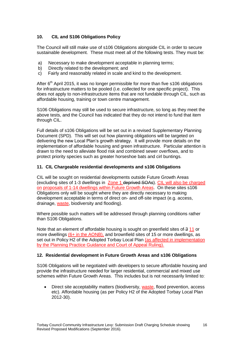# **10. CIL and S106 Obligations Policy**

The Council will still make use of s106 Obligations alongside CIL in order to secure sustainable development. These must meet all of the following tests. They must be:

- a) Necessary to make development acceptable in planning terms;
- b) Directly related to the development; and
- c) Fairly and reasonably related in scale and kind to the development.

After  $6<sup>th</sup>$  April 2015, it was no longer permissible for more than five s106 obligations for infrastructure matters to be pooled (i.e. collected for one specific project). This does not apply to non-infrastructure items that are not fundable through CIL, such as affordable housing, training or town centre management.

S106 Obligations may still be used to secure infrastructure, so long as they meet the above tests, and the Council has indicated that they do not intend to fund that item through CIL.

Full details of s106 Obligations will be set out in a revised Supplementary Planning Document (SPD). This will set out how planning obligations will be targeted on delivering the new Local Plan's growth strategy. It will provide more details on the implementation of affordable housing and green infrastructure. Particular attention is drawn to the need to alleviate flood risk and combined sewer overflows, and to protect priority species such as greater horseshoe bats and cirl buntings.

# **11. CIL Chargeable residential developments and s106 Obligations**

CIL will be sought on residential developments outside Future Growth Areas (excluding sites of 1-3 dwellings in Zone 1 deprived SOAs). CIL will also be charged on proposals of 1-14 dwellings within Future Growth Areas. On these sites s106 Obligations only will be sought where they are directly necessary to making development acceptable in terms of direct on- and off-site impact (e.g. access, drainage, waste, biodiversity and flooding).

Where possible such matters will be addressed through planning conditions rather than S106 Obligations.

Note that an element of affordable housing is sought on greenfield sites of 3 11 or more dwellings (6+ in the AONB), and brownfield sites of 15 or more dwellings, as set out in Policy H2 of the Adopted Torbay Local Plan (as affected in implementation by the Planning Practice Guidance and Court of Appeal Ruling).

## **12. Residential development in Future Growth Areas and s106 Obligations**

S106 Obligations will be negotiated with developers to secure affordable housing and provide the infrastructure needed for larger residential, commercial and mixed use schemes within Future Growth Areas. This includes but is not necessarily limited to:

• Direct site acceptability matters (biodiversity, waste, flood prevention, access etc). Affordable housing (as per Policy H2 of the Adopted Torbay Local Plan 2012-30).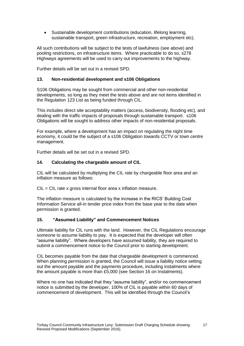Sustainable development contributions (education, lifelong learning, sustainable transport, green infrastructure, recreation, employment etc).

All such contributions will be subject to the tests of lawfulness (see above) and pooling restrictions, on infrastructure items. Where practicable to do so, s278 Highways agreements will be used to carry out improvements to the highway.

Further details will be set out in a revised SPD.

## **13. Non-residential development and s106 Obligations**

S106 Obligations may be sought from commercial and other non-residential developments, so long as they meet the tests above and are not items identified in the Regulation 123 List as being funded through CIL.

This includes direct site acceptability matters (access, biodiversity, flooding etc), and dealing with the traffic impacts of proposals through sustainable transport. s106 Obligations will be sought to address other impacts of non-residential proposals.

For example, where a development has an impact on regulating the night time economy, it could be the subject of a s106 Obligation towards CCTV or town centre management.

Further details will be set out in a revised SPD.

## **14. Calculating the chargeable amount of CIL**

CIL will be calculated by multiplying the CIL rate by chargeable floor area and an inflation measure as follows:

 $CIL = CIL$  rate x gross internal floor area x inflation measure.

The inflation measure is calculated by the increase in the RICS' Building Cost Information Service all-in tender price index from the base year to the date when permission is granted.

## **15. "Assumed Liability" and Commencement Notices**

Ultimate liability for CIL runs with the land. However, the CIL Regulations encourage someone to assume liability to pay. It is expected that the developer will often "assume liability". Where developers have assumed liability, they are required to submit a commencement notice to the Council prior to starting development.

CIL becomes payable from the date that chargeable development is commenced. When planning permission is granted, the Council will issue a liability notice setting out the amount payable and the payments procedure, including instalments where the amount payable is more than £5,000 (see Section 16 on Instalments).

Where no one has indicated that they "assume liability", and/or no commencement notice is submitted by the developer, 100% of CIL is payable within 60 days of commencement of development. This will be identified through the Council's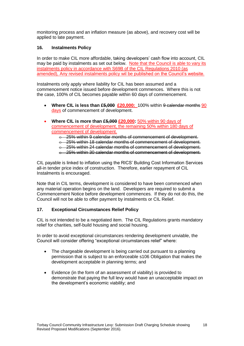monitoring process and an inflation measure (as above), and recovery cost will be applied to late payment.

# **16. Instalments Policy**

In order to make CIL more affordable, taking developers' cash flow into account, CIL may be paid by instalments as set out below. Note that the Council is able to vary its instalments policy in accordance with S69B of the CIL Regulations 2010 (as amended), Any revised instalments policy wil be published on the Council's website.

Instalments only apply where liability for CIL has been assumed and a commencement notice issued before development commences. Where this is not the case, 100% of CIL becomes payable within 60 days of commencement.

- Where CIL is less than £5,000 £20,000: 100% within 9 calendar months 90 days of commencement of development.
- **Where CIL is more than £5,000 £20,000:** 50% within 90 days of commencement of development, the remaining 50% within 180 days of commencement of development.
	- o 25% within 9 calendar months of commencement of development.
	- o 25% within 18 calendar months of commencement of development.
	- o 25% within 24 calendar months of commencement of development.
	- o 25% within 30 calendar months of commencement of development.

CIL payable is linked to inflation using the RICS' Building Cost Information Services all-in tender price index of construction. Therefore, earlier repayment of CIL Instalments is encouraged.

Note that in CIL terms, development is considered to have been commenced when any material operation begins on the land. Developers are required to submit a Commencement Notice before development commences. If they do not do this, the Council will not be able to offer payment by instalments or CIL Relief.

# **17. Exceptional Circumstances Relief Policy**

CIL is not intended to be a negotiated item. The CIL Regulations grants mandatory relief for charities, self-build housing and social housing.

In order to avoid exceptional circumstances rendering development unviable, the Council will consider offering "exceptional circumstances relief" where:

- The chargeable development is being carried out pursuant to a planning permission that is subject to an enforceable s106 Obligation that makes the development acceptable in planning terms; and
- Evidence (in the form of an assessment of viability) is provided to demonstrate that paying the full levy would have an unacceptable impact on the development's economic viability; and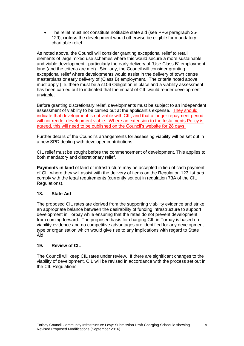The relief must not constitute notifiable state aid (see PPG paragraph 25- 129), **unless** the development would otherwise be eligible for mandatory charitable relief.

As noted above, the Council will consider granting exceptional relief to retail elements of large mixed use schemes where this would secure a more sustainable and viable development, particularly the early delivery of "Use Class B" employment land (and the criteria are met). Similarly, the Council will consider granting exceptional relief where developments would assist in the delivery of town centre masterplans or early delivery of (Class B) employment. The criteria noted above must apply (i.e. there must be a s106 Obligation in place and a viability assessment has been carried out to indicated that the impact of CIL would render development unviable.

Before granting discretionary relief, developments must be subject to an independent assessment of viability to be carried out at the applicant's expense. They should indicate that development is not viable with CIL, and that a longer repayment period will not render development viable. Where an extension to the Instalments Policy is agreed, this will need to be published on the Council's website for 28 days.

Further details of the Council's arrangements for assessing viability will be set out in a new SPD dealing with developer contributions.

CIL relief must be sought before the commencement of development. This applies to both mandatory and discretionary relief.

**Payments in kind** of land or infrastructure may be accepted in lieu of cash payment of CIL where they will assist with the delivery of items on the Regulation 123 list *and* comply with the legal requirements (currently set out in regulation 73A of the CIL Regulations).

# **18. State Aid**

The proposed CIL rates are derived from the supporting viability evidence and strike an appropriate balance between the desirability of funding infrastructure to support development in Torbay while ensuring that the rates do not prevent development from coming forward. The proposed basis for charging CIL in Torbay is based on viability evidence and no competitive advantages are identified for any development type or organisation which would give rise to any implications with regard to State Aid.

## **19. Review of CIL**

The Council will keep CIL rates under review. If there are significant changes to the viability of development, CIL will be revised in accordance with the process set out in the CIL Regulations.